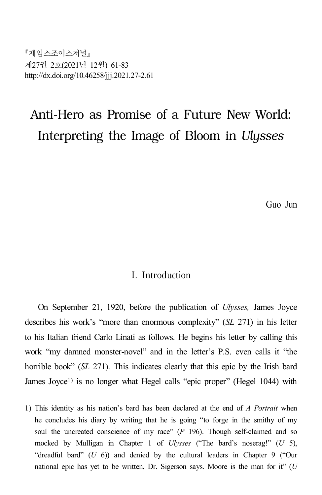제임스조이스저널 제27권 2호(2021년 12월) 61-83 http://dx.doi.org/10.46258/jjj.2021.27-2.61

# Anti-Hero as Promise of a Future New World: Interpreting the Image of Bloom in *Ulysses*

Guo Jun

### I. Introduction

On September 21, 1920, before the publication of *Ulysses,* James Joyce describes his work's "more than enormous complexity" (*SL* 271) in his letter to his Italian friend Carlo Linati as follows. He begins his letter by calling this work "my damned monster-novel" and in the letter's P.S. even calls it "the horrible book" (*SL* 271). This indicates clearly that this epic by the Irish bard James Joyce<sup>1</sup>) is no longer what Hegel calls "epic proper" (Hegel 1044) with

<sup>1)</sup> This identity as his nation's bard has been declared at the end of *A Portrait* when he concludes his diary by writing that he is going "to forge in the smithy of my soul the uncreated conscience of my race" ( $P$  196). Though self-claimed and so mocked by Mulligan in Chapter 1 of *Ulysses* ("The bard's noserag!" (*U* 5), "dreadful bard" (*U* 6)) and denied by the cultural leaders in Chapter 9 ("Our national epic has yet to be written, Dr. Sigerson says. Moore is the man for it" (*U*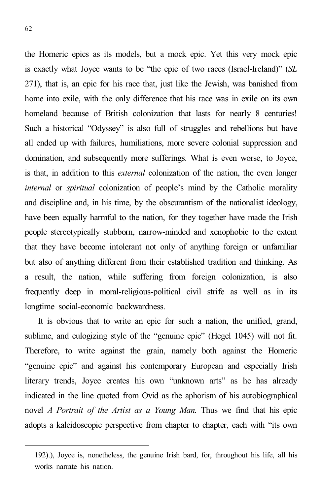62

the Homeric epics as its models, but a mock epic. Yet this very mock epic is exactly what Joyce wants to be "the epic of two races (Israel-Ireland)" (*SL* 271), that is, an epic for his race that, just like the Jewish, was banished from home into exile, with the only difference that his race was in exile on its own homeland because of British colonization that lasts for nearly 8 centuries! Such a historical "Odyssey" is also full of struggles and rebellions but have all ended up with failures, humiliations, more severe colonial suppression and domination, and subsequently more sufferings. What is even worse, to Joyce, is that, in addition to this *external* colonization of the nation, the even longer *internal* or *spiritual* colonization of people's mind by the Catholic morality and discipline and, in his time, by the obscurantism of the nationalist ideology, have been equally harmful to the nation, for they together have made the Irish people stereotypically stubborn, narrow-minded and xenophobic to the extent that they have become intolerant not only of anything foreign or unfamiliar but also of anything different from their established tradition and thinking. As a result, the nation, while suffering from foreign colonization, is also frequently deep in moral-religious-political civil strife as well as in its longtime social-economic backwardness.

It is obvious that to write an epic for such a nation, the unified, grand, sublime, and eulogizing style of the "genuine epic" (Hegel 1045) will not fit. Therefore, to write against the grain, namely both against the Homeric "genuine epic" and against his contemporary European and especially Irish literary trends, Joyce creates his own "unknown arts" as he has already indicated in the line quoted from Ovid as the aphorism of his autobiographical novel *A Portrait of the Artist as a Young Man.* Thus we find that his epic adopts a kaleidoscopic perspective from chapter to chapter, each with "its own

<sup>192).),</sup> Joyce is, nonetheless, the genuine Irish bard, for, throughout his life, all his works narrate his nation.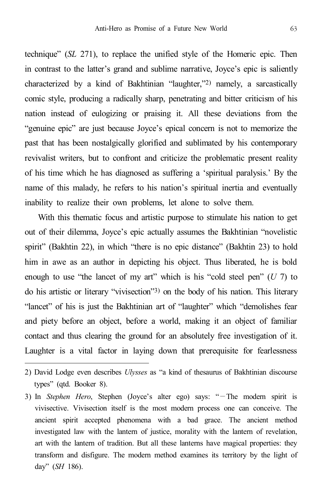technique" (*SL* 271), to replace the unified style of the Homeric epic. Then in contrast to the latter's grand and sublime narrative, Joyce's epic is saliently characterized by a kind of Bakhtinian "laughter,"2) namely, a sarcastically comic style, producing a radically sharp, penetrating and bitter criticism of his nation instead of eulogizing or praising it. All these deviations from the "genuine epic" are just because Joyce's epical concern is not to memorize the past that has been nostalgically glorified and sublimated by his contemporary revivalist writers, but to confront and criticize the problematic present reality of his time which he has diagnosed as suffering a 'spiritual paralysis.' By the name of this malady, he refers to his nation's spiritual inertia and eventually inability to realize their own problems, let alone to solve them.

With this thematic focus and artistic purpose to stimulate his nation to get out of their dilemma, Joyce's epic actually assumes the Bakhtinian "novelistic spirit" (Bakhtin 22), in which "there is no epic distance" (Bakhtin 23) to hold him in awe as an author in depicting his object. Thus liberated, he is bold enough to use "the lancet of my art" which is his "cold steel pen" (*U* 7) to do his artistic or literary "vivisection"3) on the body of his nation. This literary "lancet" of his is just the Bakhtinian art of "laughter" which "demolishes fear and piety before an object, before a world, making it an object of familiar contact and thus clearing the ground for an absolutely free investigation of it. Laughter is a vital factor in laying down that prerequisite for fearlessness

<sup>2)</sup> David Lodge even describes *Ulysses* as "a kind of thesaurus of Bakhtinian discourse types" (qtd. Booker 8).

<sup>3)</sup> In *Stephen Hero*, Stephen (Joyce's alter ego) says: "—The modern spirit is vivisective. Vivisection itself is the most modern process one can conceive. The ancient spirit accepted phenomena with a bad grace. The ancient method investigated law with the lantern of justice, morality with the lantern of revelation, art with the lantern of tradition. But all these lanterns have magical properties: they transform and disfigure. The modern method examines its territory by the light of day" (*SH* 186).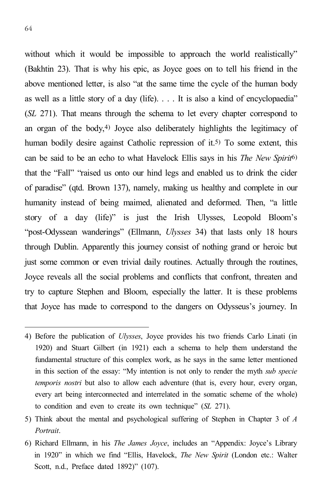without which it would be impossible to approach the world realistically" (Bakhtin 23). That is why his epic, as Joyce goes on to tell his friend in the above mentioned letter, is also "at the same time the cycle of the human body as well as a little story of a day (life). . . . It is also a kind of encyclopaedia" (*SL* 271). That means through the schema to let every chapter correspond to an organ of the body, 4) Joyce also deliberately highlights the legitimacy of human bodily desire against Catholic repression of it.<sup>5)</sup> To some extent, this can be said to be an echo to what Havelock Ellis says in his *The New Spirit* 6) that the "Fall" "raised us onto our hind legs and enabled us to drink the cider of paradise" (qtd. Brown 137), namely, making us healthy and complete in our humanity instead of being maimed, alienated and deformed. Then, "a little story of a day (life)" is just the Irish Ulysses, Leopold Bloom's "post-Odyssean wanderings" (Ellmann, *Ulysses* 34) that lasts only 18 hours through Dublin. Apparently this journey consist of nothing grand or heroic but just some common or even trivial daily routines. Actually through the routines, Joyce reveals all the social problems and conflicts that confront, threaten and try to capture Stephen and Bloom, especially the latter. It is these problems that Joyce has made to correspond to the dangers on Odysseus's journey. In

<sup>4)</sup> Before the publication of *Ulysses*, Joyce provides his two friends Carlo Linati (in 1920) and Stuart Gilbert (in 1921) each a schema to help them understand the fundamental structure of this complex work, as he says in the same letter mentioned in this section of the essay: "My intention is not only to render the myth *sub specie temporis nostri* but also to allow each adventure (that is, every hour, every organ, every art being interconnected and interrelated in the somatic scheme of the whole) to condition and even to create its own technique" (*SL* 271).

<sup>5)</sup> Think about the mental and psychological suffering of Stephen in Chapter 3 of *A Portrait*.

<sup>6)</sup> Richard Ellmann, in his *The James Joyce*, includes an "Appendix: Joyce's Library in 1920" in which we find "Ellis, Havelock, *The New Spirit* (London etc.: Walter Scott, n.d., Preface dated 1892)" (107).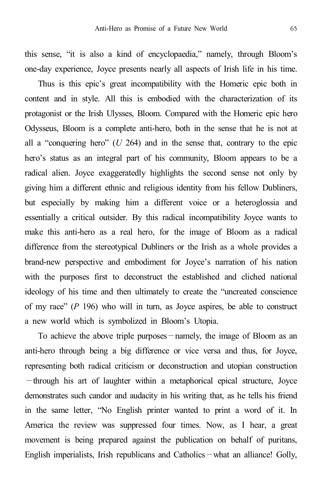this sense, "it is also a kind of encyclopaedia," namely, through Bloom's one-day experience, Joyce presents nearly all aspects of Irish life in his time.

Thus is this epic's great incompatibility with the Homeric epic both in content and in style. All this is embodied with the characterization of its protagonist or the Irish Ulysses, Bloom. Compared with the Homeric epic hero Odysseus, Bloom is a complete anti-hero, both in the sense that he is not at all a "conquering hero" (*U* 264) and in the sense that, contrary to the epic hero's status as an integral part of his community, Bloom appears to be a radical alien. Joyce exaggeratedly highlights the second sense not only by giving him a different ethnic and religious identity from his fellow Dubliners, but especially by making him a different voice or a heteroglossia and essentially a critical outsider. By this radical incompatibility Joyce wants to make this anti-hero as a real hero, for the image of Bloom as a radical difference from the stereotypical Dubliners or the Irish as a whole provides a brand-new perspective and embodiment for Joyce's narration of his nation with the purposes first to deconstruct the established and cliched national ideology of his time and then ultimately to create the "uncreated conscience of my race" (*P* 196) who will in turn, as Joyce aspires, be able to construct a new world which is symbolized in Bloom's Utopia.

To achieve the above triple purposes—namely, the image of Bloom as an anti-hero through being a big difference or vice versa and thus, for Joyce, representing both radical criticism or deconstruction and utopian construction —through his art of laughter within a metaphorical epical structure, Joyce demonstrates such candor and audacity in his writing that, as he tells his friend in the same letter, "No English printer wanted to print a word of it. In America the review was suppressed four times. Now, as I hear, a great movement is being prepared against the publication on behalf of puritans, English imperialists, Irish republicans and Catholics—what an alliance! Golly,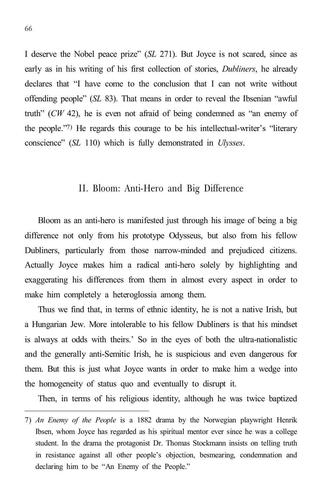I deserve the Nobel peace prize" (*SL* 271). But Joyce is not scared, since as early as in his writing of his first collection of stories, *Dubliners*, he already declares that "I have come to the conclusion that I can not write without offending people" (*SL* 83). That means in order to reveal the Ibsenian "awful truth" (*CW* 42), he is even not afraid of being condemned as "an enemy of the people."7) He regards this courage to be his intellectual-writer's "literary conscience" (*SL* 110) which is fully demonstrated in *Ulysses*.

#### II. Bloom: Anti-Hero and Big Difference

Bloom as an anti-hero is manifested just through his image of being a big difference not only from his prototype Odysseus, but also from his fellow Dubliners, particularly from those narrow-minded and prejudiced citizens. Actually Joyce makes him a radical anti-hero solely by highlighting and exaggerating his differences from them in almost every aspect in order to make him completely a heteroglossia among them.

Thus we find that, in terms of ethnic identity, he is not a native Irish, but a Hungarian Jew. More intolerable to his fellow Dubliners is that his mindset is always at odds with theirs.' So in the eyes of both the ultra-nationalistic and the generally anti-Semitic Irish, he is suspicious and even dangerous for them. But this is just what Joyce wants in order to make him a wedge into the homogeneity of status quo and eventually to disrupt it.

Then, in terms of his religious identity, although he was twice baptized

<sup>7)</sup> *An Enemy of the People* is a 1882 drama by the Norwegian playwright Henrik Ibsen, whom Joyce has regarded as his spiritual mentor ever since he was a college student. In the drama the protagonist Dr. Thomas Stockmann insists on telling truth in resistance against all other people's objection, besmearing, condemnation and declaring him to be "An Enemy of the People."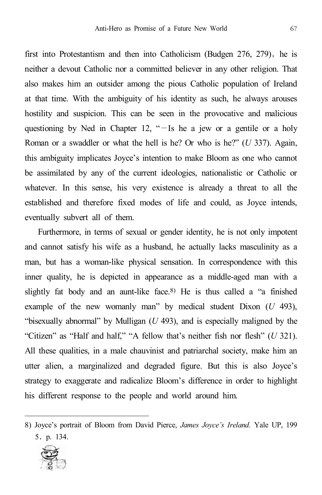first into Protestantism and then into Catholicism (Budgen  $276$ ,  $279$ ), he is neither a devout Catholic nor a committed believer in any other religion. That also makes him an outsider among the pious Catholic population of Ireland at that time. With the ambiguity of his identity as such, he always arouses hostility and suspicion. This can be seen in the provocative and malicious questioning by Ned in Chapter 12, "—Is he a jew or a gentile or a holy Roman or a swaddler or what the hell is he? Or who is he?" (*U* 337). Again, this ambiguity implicates Joyce's intention to make Bloom as one who cannot be assimilated by any of the current ideologies, nationalistic or Catholic or whatever. In this sense, his very existence is already a threat to all the established and therefore fixed modes of life and could, as Joyce intends, eventually subvert all of them.

Furthermore, in terms of sexual or gender identity, he is not only impotent and cannot satisfy his wife as a husband, he actually lacks masculinity as a man, but has a woman-like physical sensation. In correspondence with this inner quality, he is depicted in appearance as a middle-aged man with a slightly fat body and an aunt-like face. 8) He is thus called a "a finished example of the new womanly man" by medical student Dixon (*U* 493), "bisexually abnormal" by Mulligan (*U* 493), and is especially maligned by the "Citizen" as "Half and half," "A fellow that's neither fish nor flesh" (*U* 321). All these qualities, in a male chauvinist and patriarchal society, make him an utter alien, a marginalized and degraded figure. But this is also Joyce's strategy to exaggerate and radicalize Bloom's difference in order to highlight his different response to the people and world around him.

<sup>8)</sup> Joyce's portrait of Bloom from David Pierce, *James Joyce's Ireland.* Yale UP, 199 5,p. 134.

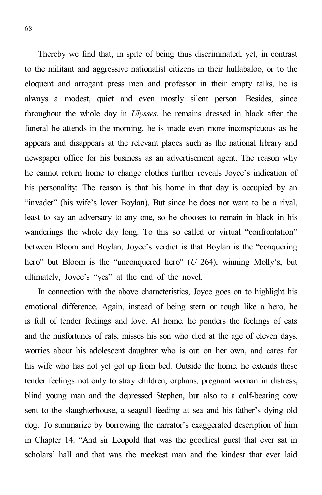Thereby we find that, in spite of being thus discriminated, yet, in contrast to the militant and aggressive nationalist citizens in their hullabaloo, or to the eloquent and arrogant press men and professor in their empty talks, he is always a modest, quiet and even mostly silent person. Besides, since throughout the whole day in *Ulysses*, he remains dressed in black after the funeral he attends in the morning, he is made even more inconspicuous as he appears and disappears at the relevant places such as the national library and newspaper office for his business as an advertisement agent. The reason why he cannot return home to change clothes further reveals Joyce's indication of his personality: The reason is that his home in that day is occupied by an "invader" (his wife's lover Boylan). But since he does not want to be a rival, least to say an adversary to any one, so he chooses to remain in black in his wanderings the whole day long. To this so called or virtual "confrontation" between Bloom and Boylan, Joyce's verdict is that Boylan is the "conquering hero" but Bloom is the "unconquered hero" (*U* 264), winning Molly's, but ultimately, Joyce's "yes" at the end of the novel.

In connection with the above characteristics, Joyce goes on to highlight his emotional difference. Again, instead of being stern or tough like a hero, he is full of tender feelings and love. At home. he ponders the feelings of cats and the misfortunes of rats, misses his son who died at the age of eleven days, worries about his adolescent daughter who is out on her own, and cares for his wife who has not yet got up from bed. Outside the home, he extends these tender feelings not only to stray children, orphans, pregnant woman in distress, blind young man and the depressed Stephen, but also to a calf-bearing cow sent to the slaughterhouse, a seagull feeding at sea and his father's dying old dog. To summarize by borrowing the narrator's exaggerated description of him in Chapter 14: "And sir Leopold that was the goodliest guest that ever sat in scholars' hall and that was the meekest man and the kindest that ever laid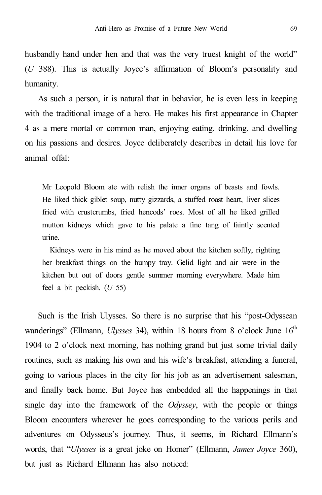husbandly hand under hen and that was the very truest knight of the world" (*U* 388). This is actually Joyce's affirmation of Bloom's personality and humanity.

As such a person, it is natural that in behavior, he is even less in keeping with the traditional image of a hero. He makes his first appearance in Chapter 4 as a mere mortal or common man, enjoying eating, drinking, and dwelling on his passions and desires. Joyce deliberately describes in detail his love for animal offal:

Mr Leopold Bloom ate with relish the inner organs of beasts and fowls. He liked thick giblet soup, nutty gizzards, a stuffed roast heart, liver slices fried with crustcrumbs, fried hencods' roes. Most of all he liked grilled mutton kidneys which gave to his palate a fine tang of faintly scented urine.

Kidneys were in his mind as he moved about the kitchen softly, righting her breakfast things on the humpy tray. Gelid light and air were in the kitchen but out of doors gentle summer morning everywhere. Made him feel a bit peckish. (*U* 55)

Such is the Irish Ulysses. So there is no surprise that his "post-Odyssean wanderings" (Ellmann, *Ulysses* 34), within 18 hours from 8 o'clock June 16<sup>th</sup> 1904 to 2 o'clock next morning, has nothing grand but just some trivial daily routines, such as making his own and his wife's breakfast, attending a funeral, going to various places in the city for his job as an advertisement salesman, and finally back home. But Joyce has embedded all the happenings in that single day into the framework of the *Odyssey*, with the people or things Bloom encounters wherever he goes corresponding to the various perils and adventures on Odysseus's journey. Thus, it seems, in Richard Ellmann's words, that "*Ulysses* is a great joke on Homer" (Ellmann, *James Joyce* 360), but just as Richard Ellmann has also noticed: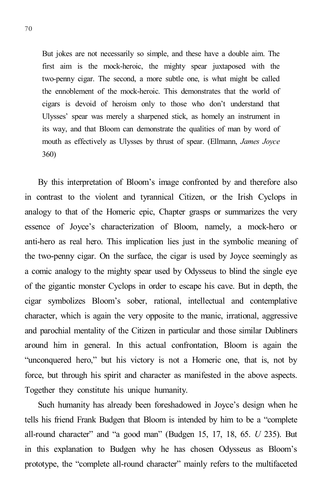But jokes are not necessarily so simple, and these have a double aim. The first aim is the mock-heroic, the mighty spear juxtaposed with the two-penny cigar. The second, a more subtle one, is what might be called the ennoblement of the mock-heroic. This demonstrates that the world of cigars is devoid of heroism only to those who don't understand that Ulysses' spear was merely a sharpened stick, as homely an instrument in its way, and that Bloom can demonstrate the qualities of man by word of mouth as effectively as Ulysses by thrust of spear. (Ellmann, *James Joyce* 360)

By this interpretation of Bloom's image confronted by and therefore also in contrast to the violent and tyrannical Citizen, or the Irish Cyclops in analogy to that of the Homeric epic, Chapter grasps or summarizes the very essence of Joyce's characterization of Bloom, namely, a mock-hero or anti-hero as real hero. This implication lies just in the symbolic meaning of the two-penny cigar. On the surface, the cigar is used by Joyce seemingly as a comic analogy to the mighty spear used by Odysseus to blind the single eye of the gigantic monster Cyclops in order to escape his cave. But in depth, the cigar symbolizes Bloom's sober, rational, intellectual and contemplative character, which is again the very opposite to the manic, irrational, aggressive and parochial mentality of the Citizen in particular and those similar Dubliners around him in general. In this actual confrontation, Bloom is again the "unconquered hero," but his victory is not a Homeric one, that is, not by force, but through his spirit and character as manifested in the above aspects. Together they constitute his unique humanity.

Such humanity has already been foreshadowed in Joyce's design when he tells his friend Frank Budgen that Bloom is intended by him to be a "complete all-round character" and "a good man" (Budgen 15, 17, 18, 65. *U* 235). But in this explanation to Budgen why he has chosen Odysseus as Bloom's prototype, the "complete all-round character" mainly refers to the multifaceted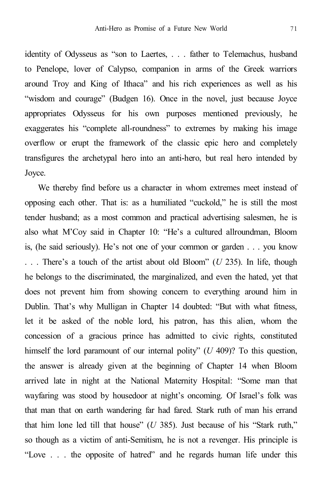identity of Odysseus as "son to Laertes, . . . father to Telemachus, husband to Penelope, lover of Calypso, companion in arms of the Greek warriors around Troy and King of Ithaca" and his rich experiences as well as his "wisdom and courage" (Budgen 16). Once in the novel, just because Joyce appropriates Odysseus for his own purposes mentioned previously, he exaggerates his "complete all-roundness" to extremes by making his image overflow or erupt the framework of the classic epic hero and completely transfigures the archetypal hero into an anti-hero, but real hero intended by Joyce.

We thereby find before us a character in whom extremes meet instead of opposing each other. That is: as a humiliated "cuckold," he is still the most tender husband; as a most common and practical advertising salesmen, he is also what M'Coy said in Chapter 10: "He's a cultured allroundman, Bloom is, (he said seriously). He's not one of your common or garden . . . you know . . . There's a touch of the artist about old Bloom" (*U* 235). In life, though he belongs to the discriminated, the marginalized, and even the hated, yet that does not prevent him from showing concern to everything around him in Dublin. That's why Mulligan in Chapter 14 doubted: "But with what fitness, let it be asked of the noble lord, his patron, has this alien, whom the concession of a gracious prince has admitted to civic rights, constituted himself the lord paramount of our internal polity" (*U* 409)? To this question, the answer is already given at the beginning of Chapter 14 when Bloom arrived late in night at the National Maternity Hospital: "Some man that wayfaring was stood by housedoor at night's oncoming. Of Israel's folk was that man that on earth wandering far had fared. Stark ruth of man his errand that him lone led till that house" (*U* 385). Just because of his "Stark ruth," so though as a victim of anti-Semitism, he is not a revenger. His principle is "Love . . . the opposite of hatred" and he regards human life under this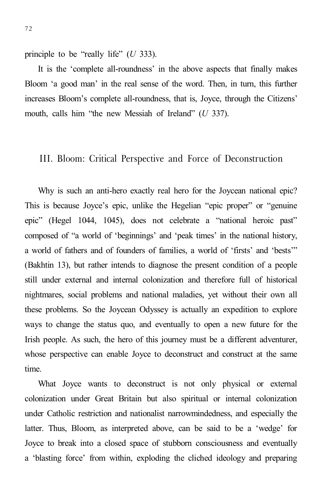principle to be "really life" (*U* 333).

It is the 'complete all-roundness' in the above aspects that finally makes Bloom 'a good man' in the real sense of the word. Then, in turn, this further increases Bloom's complete all-roundness, that is, Joyce, through the Citizens' mouth, calls him "the new Messiah of Ireland" (*U* 337).

#### III. Bloom: Critical Perspective and Force of Deconstruction

Why is such an anti-hero exactly real hero for the Joycean national epic? This is because Joyce's epic, unlike the Hegelian "epic proper" or "genuine epic" (Hegel 1044, 1045), does not celebrate a "national heroic past" composed of "a world of 'beginnings' and 'peak times' in the national history, a world of fathers and of founders of families, a world of 'firsts' and 'bests'" (Bakhtin 13), but rather intends to diagnose the present condition of a people still under external and internal colonization and therefore full of historical nightmares, social problems and national maladies, yet without their own all these problems. So the Joycean Odyssey is actually an expedition to explore ways to change the status quo, and eventually to open a new future for the Irish people. As such, the hero of this journey must be a different adventurer, whose perspective can enable Joyce to deconstruct and construct at the same time.

What Joyce wants to deconstruct is not only physical or external colonization under Great Britain but also spiritual or internal colonization under Catholic restriction and nationalist narrowmindedness, and especially the latter. Thus, Bloom, as interpreted above, can be said to be a 'wedge' for Joyce to break into a closed space of stubborn consciousness and eventually a 'blasting force' from within, exploding the cliched ideology and preparing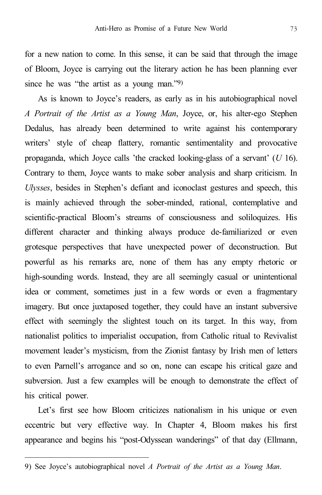for a new nation to come. In this sense, it can be said that through the image of Bloom, Joyce is carrying out the literary action he has been planning ever since he was "the artist as a young man."9)

As is known to Joyce's readers, as early as in his autobiographical novel *A Portrait of the Artist as a Young Man*, Joyce, or, his alter-ego Stephen Dedalus, has already been determined to write against his contemporary writers' style of cheap flattery, romantic sentimentality and provocative propaganda, which Joyce calls 'the cracked looking-glass of a servant' (*U* 16). Contrary to them, Joyce wants to make sober analysis and sharp criticism. In *Ulysses*, besides in Stephen's defiant and iconoclast gestures and speech, this is mainly achieved through the sober-minded, rational, contemplative and scientific-practical Bloom's streams of consciousness and soliloquizes. His different character and thinking always produce de-familiarized or even grotesque perspectives that have unexpected power of deconstruction. But powerful as his remarks are, none of them has any empty rhetoric or high-sounding words. Instead, they are all seemingly casual or unintentional idea or comment, sometimes just in a few words or even a fragmentary imagery. But once juxtaposed together, they could have an instant subversive effect with seemingly the slightest touch on its target. In this way, from nationalist politics to imperialist occupation, from Catholic ritual to Revivalist movement leader's mysticism, from the Zionist fantasy by Irish men of letters to even Parnell's arrogance and so on, none can escape his critical gaze and subversion. Just a few examples will be enough to demonstrate the effect of his critical power.

Let's first see how Bloom criticizes nationalism in his unique or even eccentric but very effective way. In Chapter 4, Bloom makes his first appearance and begins his "post-Odyssean wanderings" of that day (Ellmann,

<sup>9)</sup> See Joyce's autobiographical novel *A Portrait of the Artist as a Young Man*.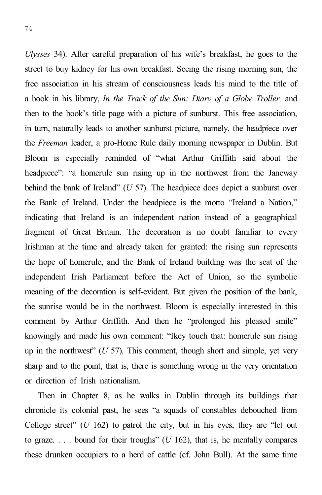*Ulysses* 34). After careful preparation of his wife's breakfast, he goes to the street to buy kidney for his own breakfast. Seeing the rising morning sun, the free association in his stream of consciousness leads his mind to the title of a book in his library, *In the Track of the Sun: Diary of a Globe Troller,* and then to the book's title page with a picture of sunburst. This free association, in turn, naturally leads to another sunburst picture, namely, the headpiece over the *Freeman* leader, a pro-Home Rule daily morning newspaper in Dublin. But Bloom is especially reminded of "what Arthur Griffith said about the headpiece": "a homerule sun rising up in the northwest from the Janeway behind the bank of Ireland" (*U* 57). The headpiece does depict a sunburst over the Bank of Ireland. Under the headpiece is the motto "Ireland a Nation," indicating that Ireland is an independent nation instead of a geographical fragment of Great Britain. The decoration is no doubt familiar to every Irishman at the time and already taken for granted: the rising sun represents the hope of homerule, and the Bank of Ireland building was the seat of the independent Irish Parliament before the Act of Union, so the symbolic meaning of the decoration is self-evident. But given the position of the bank, the sunrise would be in the northwest. Bloom is especially interested in this comment by Arthur Griffith. And then he "prolonged his pleased smile" knowingly and made his own comment: "Ikey touch that: homerule sun rising up in the northwest" (*U* 57). This comment, though short and simple, yet very sharp and to the point, that is, there is something wrong in the very orientation or direction of Irish nationalism.

Then in Chapter 8, as he walks in Dublin through its buildings that chronicle its colonial past, he sees "a squads of constables debouched from College street" (*U* 162) to patrol the city, but in his eyes, they are "let out to graze.  $\ldots$  bound for their troughs" (*U* 162), that is, he mentally compares these drunken occupiers to a herd of cattle (cf. John Bull). At the same time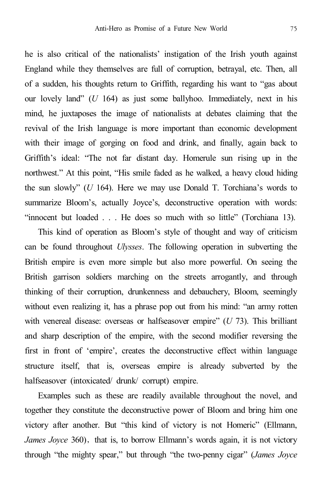he is also critical of the nationalists' instigation of the Irish youth against England while they themselves are full of corruption, betrayal, etc. Then, all of a sudden, his thoughts return to Griffith, regarding his want to "gas about our lovely land" (*U* 164) as just some ballyhoo. Immediately, next in his mind, he juxtaposes the image of nationalists at debates claiming that the revival of the Irish language is more important than economic development with their image of gorging on food and drink, and finally, again back to Griffith's ideal: "The not far distant day. Homerule sun rising up in the northwest." At this point, "His smile faded as he walked, a heavy cloud hiding the sun slowly" (*U* 164). Here we may use Donald T. Torchiana's words to summarize Bloom's, actually Joyce's, deconstructive operation with words: "innocent but loaded . . . He does so much with so little" (Torchiana 13).

This kind of operation as Bloom's style of thought and way of criticism can be found throughout *Ulysses*. The following operation in subverting the British empire is even more simple but also more powerful. On seeing the British garrison soldiers marching on the streets arrogantly, and through thinking of their corruption, drunkenness and debauchery, Bloom, seemingly without even realizing it, has a phrase pop out from his mind: "an army rotten with venereal disease: overseas or halfseasover empire" (*U* 73). This brilliant and sharp description of the empire, with the second modifier reversing the first in front of 'empire', creates the deconstructive effect within language structure itself, that is, overseas empire is already subverted by the halfseasover (intoxicated/ drunk/ corrupt) empire.

Examples such as these are readily available throughout the novel, and together they constitute the deconstructive power of Bloom and bring him one victory after another. But "this kind of victory is not Homeric" (Ellmann, *James Joyce* 360), that is, to borrow Ellmann's words again, it is not victory through "the mighty spear," but through "the two-penny cigar" (*James Joyce*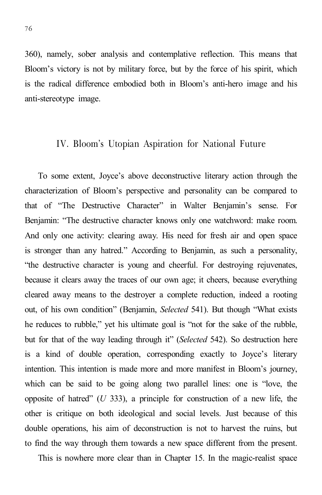360), namely, sober analysis and contemplative reflection. This means that Bloom's victory is not by military force, but by the force of his spirit, which is the radical difference embodied both in Bloom's anti-hero image and his anti-stereotype image.

#### IV. Bloom's Utopian Aspiration for National Future

To some extent, Joyce's above deconstructive literary action through the characterization of Bloom's perspective and personality can be compared to that of "The Destructive Character" in Walter Benjamin's sense. For Benjamin: "The destructive character knows only one watchword: make room. And only one activity: clearing away. His need for fresh air and open space is stronger than any hatred." According to Benjamin, as such a personality, "the destructive character is young and cheerful. For destroying rejuvenates, because it clears away the traces of our own age; it cheers, because everything cleared away means to the destroyer a complete reduction, indeed a rooting out, of his own condition" (Benjamin, *Selected* 541). But though "What exists he reduces to rubble," yet his ultimate goal is "not for the sake of the rubble, but for that of the way leading through it" (*Selected* 542). So destruction here is a kind of double operation, corresponding exactly to Joyce's literary intention. This intention is made more and more manifest in Bloom's journey, which can be said to be going along two parallel lines: one is "love, the opposite of hatred" (*U* 333), a principle for construction of a new life, the other is critique on both ideological and social levels. Just because of this double operations, his aim of deconstruction is not to harvest the ruins, but to find the way through them towards a new space different from the present.

This is nowhere more clear than in Chapter 15. In the magic-realist space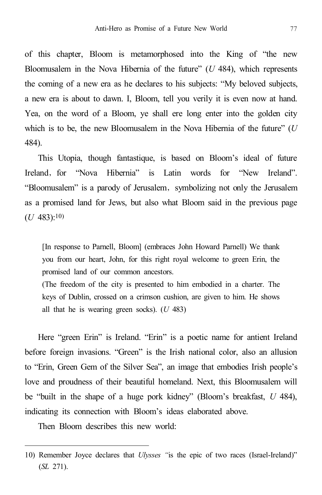of this chapter, Bloom is metamorphosed into the King of "the new Bloomusalem in the Nova Hibernia of the future" (*U* 484), which represents the coming of a new era as he declares to his subjects: "My beloved subjects, a new era is about to dawn. I, Bloom, tell you verily it is even now at hand. Yea, on the word of a Bloom, ye shall ere long enter into the golden city which is to be, the new Bloomusalem in the Nova Hibernia of the future" (*U* 484).

This Utopia, though fantastique, is based on Bloom's ideal of future Ireland, for "Nova Hibernia" is Latin words for "New Ireland". "Bloomusalem" is a parody of Jerusalem, symbolizing not only the Jerusalem as a promised land for Jews, but also what Bloom said in the previous page  $(U 483):10$ 

[In response to Parnell, Bloom] (embraces John Howard Parnell) We thank you from our heart, John, for this right royal welcome to green Erin, the promised land of our common ancestors.

(The freedom of the city is presented to him embodied in a charter. The keys of Dublin, crossed on a crimson cushion, are given to him. He shows all that he is wearing green socks). (*U* 483)

Here "green Erin" is Ireland. "Erin" is a poetic name for antient Ireland before foreign invasions. "Green" is the Irish national color, also an allusion to "Erin, Green Gem of the Silver Sea", an image that embodies Irish people's love and proudness of their beautiful homeland. Next, this Bloomusalem will be "built in the shape of a huge pork kidney" (Bloom's breakfast, *U* 484), indicating its connection with Bloom's ideas elaborated above.

Then Bloom describes this new world:

<sup>10)</sup> Remember Joyce declares that *Ulysses "*is the epic of two races (Israel-Ireland)" (*SL* 271).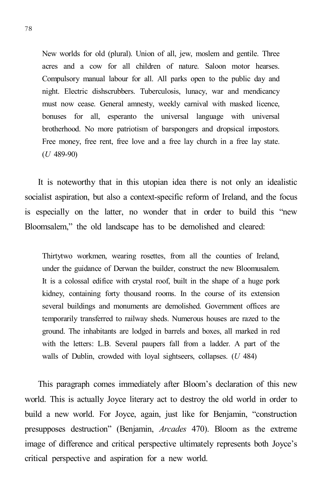New worlds for old (plural). Union of all, jew, moslem and gentile. Three acres and a cow for all children of nature. Saloon motor hearses. Compulsory manual labour for all. All parks open to the public day and night. Electric dishscrubbers. Tuberculosis, lunacy, war and mendicancy must now cease. General amnesty, weekly carnival with masked licence, bonuses for all, esperanto the universal language with universal brotherhood. No more patriotism of barspongers and dropsical impostors. Free money, free rent, free love and a free lay church in a free lay state. (*U* 489-90)

It is noteworthy that in this utopian idea there is not only an idealistic socialist aspiration, but also a context-specific reform of Ireland, and the focus is especially on the latter, no wonder that in order to build this "new Bloomsalem," the old landscape has to be demolished and cleared:

Thirtytwo workmen, wearing rosettes, from all the counties of Ireland, under the guidance of Derwan the builder, construct the new Bloomusalem. It is a colossal edifice with crystal roof, built in the shape of a huge pork kidney, containing forty thousand rooms. In the course of its extension several buildings and monuments are demolished. Government offices are temporarily transferred to railway sheds. Numerous houses are razed to the ground. The inhabitants are lodged in barrels and boxes, all marked in red with the letters: L.B. Several paupers fall from a ladder. A part of the walls of Dublin, crowded with loyal sightseers, collapses. (*U* 484)

This paragraph comes immediately after Bloom's declaration of this new world. This is actually Joyce literary act to destroy the old world in order to build a new world. For Joyce, again, just like for Benjamin, "construction presupposes destruction" (Benjamin, *Arcades* 470). Bloom as the extreme image of difference and critical perspective ultimately represents both Joyce's critical perspective and aspiration for a new world.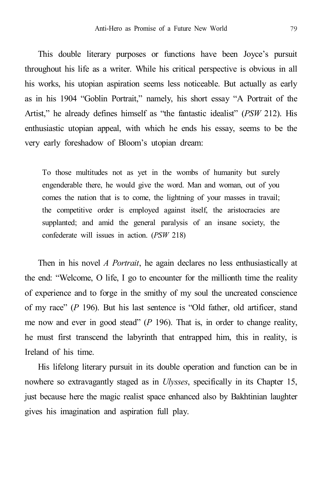This double literary purposes or functions have been Joyce's pursuit throughout his life as a writer. While his critical perspective is obvious in all his works, his utopian aspiration seems less noticeable. But actually as early as in his 1904 "Goblin Portrait," namely, his short essay "A Portrait of the Artist," he already defines himself as "the fantastic idealist" (*PSW* 212). His enthusiastic utopian appeal, with which he ends his essay, seems to be the very early foreshadow of Bloom's utopian dream:

To those multitudes not as yet in the wombs of humanity but surely engenderable there, he would give the word. Man and woman, out of you comes the nation that is to come, the lightning of your masses in travail; the competitive order is employed against itself, the aristocracies are supplanted; and amid the general paralysis of an insane society, the confederate will issues in action. (*PSW* 218)

Then in his novel *A Portrait*, he again declares no less enthusiastically at the end: "Welcome, O life, I go to encounter for the millionth time the reality of experience and to forge in the smithy of my soul the uncreated conscience of my race" (*P* 196). But his last sentence is "Old father, old artificer, stand me now and ever in good stead" (*P* 196). That is, in order to change reality, he must first transcend the labyrinth that entrapped him, this in reality, is Ireland of his time.

His lifelong literary pursuit in its double operation and function can be in nowhere so extravagantly staged as in *Ulysses*, specifically in its Chapter 15, just because here the magic realist space enhanced also by Bakhtinian laughter gives his imagination and aspiration full play.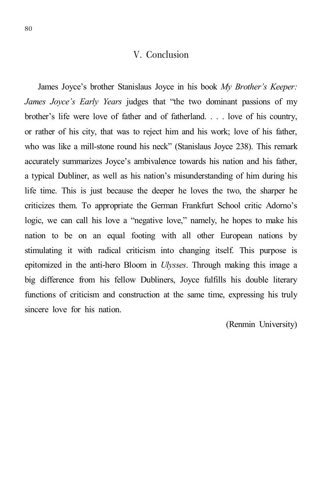#### V. Conclusion

James Joyce's brother Stanislaus Joyce in his book *My Brother's Keeper: James Joyce's Early Years* judges that "the two dominant passions of my brother's life were love of father and of fatherland. . . . love of his country, or rather of his city, that was to reject him and his work; love of his father, who was like a mill-stone round his neck" (Stanislaus Joyce 238). This remark accurately summarizes Joyce's ambivalence towards his nation and his father, a typical Dubliner, as well as his nation's misunderstanding of him during his life time. This is just because the deeper he loves the two, the sharper he criticizes them. To appropriate the German Frankfurt School critic Adorno's logic, we can call his love a "negative love," namely, he hopes to make his nation to be on an equal footing with all other European nations by stimulating it with radical criticism into changing itself. This purpose is epitomized in the anti-hero Bloom in *Ulysses*. Through making this image a big difference from his fellow Dubliners, Joyce fulfills his double literary functions of criticism and construction at the same time, expressing his truly sincere love for his nation.

(Renmin University)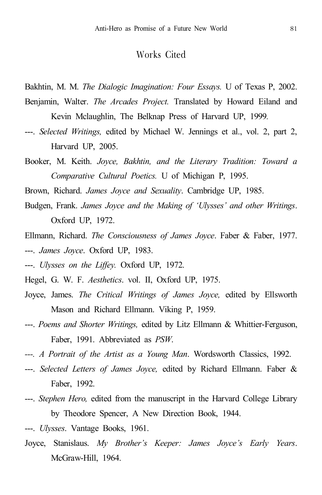#### Works Cited

Bakhtin, M. M. *The Dialogic Imagination: Four Essays.* U of Texas P, 2002.

- Benjamin, Walter. *The Arcades Project.* Translated by Howard Eiland and Kevin Mclaughlin, The Belknap Press of Harvard UP, 1999*.*
- ---. *Selected Writings,* edited by Michael W. Jennings et al., vol. 2, part 2, Harvard UP, 2005.
- Booker, M. Keith. *Joyce, Bakhtin, and the Literary Tradition: Toward a Comparative Cultural Poetics.* U of Michigan P, 1995.

Brown, Richard. *James Joyce and Sexuality*. Cambridge UP, 1985.

- Budgen, Frank. *James Joyce and the Making of 'Ulysses' and other Writings*. Oxford UP, 1972.
- Ellmann, Richard. *The Consciousness of James Joyce*. Faber & Faber, 1977. ---. *James Joyce*. Oxford UP, 1983.
- ---. *Ulysses on the Liffey.* Oxford UP, 1972.
- Hegel, G. W. F. *Aesthetics*. vol. II, Oxford UP, 1975.
- Joyce, James. *The Critical Writings of James Joyce,* edited by Ellsworth Mason and Richard Ellmann. Viking P, 1959.
- ---. *Poems and Shorter Writings,* edited by Litz Ellmann & Whittier-Ferguson, Faber, 1991. Abbreviated as *PSW*.
- *---. A Portrait of the Artist as a Young Man*. Wordsworth Classics, 1992.
- ---. *Selected Letters of James Joyce,* edited by Richard Ellmann. Faber & Faber, 1992.
- ---. *Stephen Hero,* edited from the manuscript in the Harvard College Library by Theodore Spencer, A New Direction Book, 1944.
- ---. *Ulysses*. Vantage Books, 1961.
- Joyce, Stanislaus. *My Brother's Keeper: James Joyce's Early Years*. McGraw-Hill, 1964.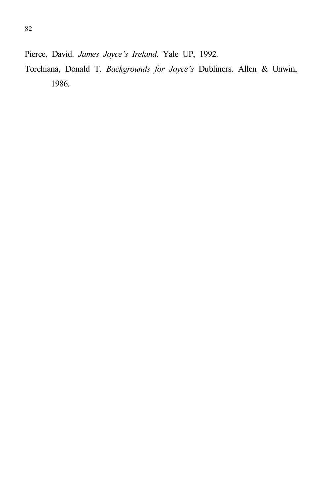Pierce, David. *James Joyce's Ireland*. Yale UP, 1992.

Torchiana, Donald T. *Backgrounds for Joyce's* Dubliners. Allen & Unwin, 1986.